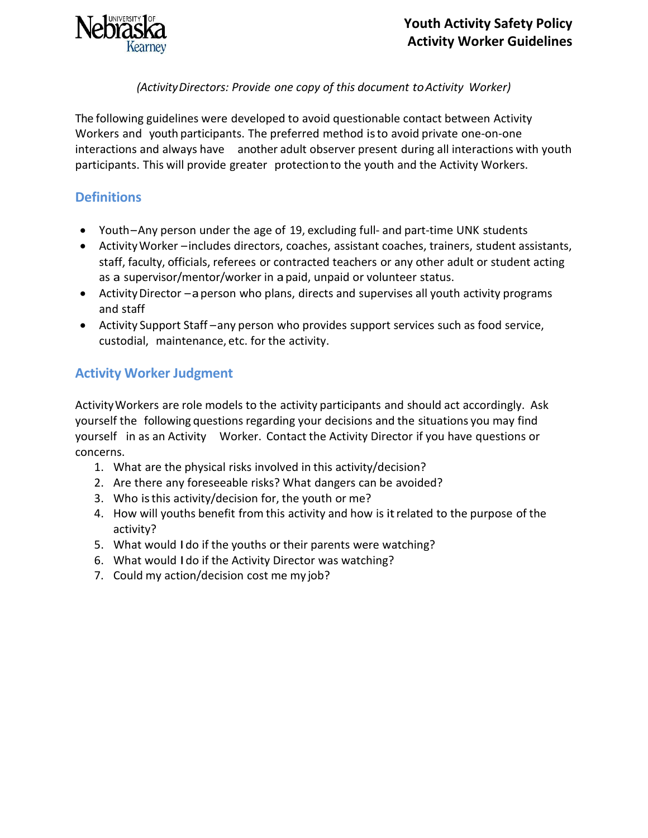

#### *(ActivityDirectors: Provide one copy of this document toActivity Worker)*

The following guidelines were developed to avoid questionable contact between Activity Workers and youth participants. The preferred method isto avoid private one-on-one interactions and always have another adult observer present during all interactions with youth participants. This will provide greater protectionto the youth and the Activity Workers.

#### **Definitions**

- Youth–Any person under the age of 19, excluding full- and part-time UNK students
- ActivityWorker –includes directors, coaches, assistant coaches, trainers, student assistants, staff, faculty, officials, referees or contracted teachers or any other adult or student acting as a supervisor/mentor/worker in apaid, unpaid or volunteer status.
- Activity Director –a person who plans, directs and supervises all youth activity programs and staff
- Activity Support Staff –any person who provides support services such as food service, custodial, maintenance, etc. for the activity.

# **Activity Worker Judgment**

ActivityWorkers are role models to the activity participants and should act accordingly. Ask yourself the following questions regarding your decisions and the situations you may find yourself in as an Activity Worker. Contact the Activity Director if you have questions or concerns.

- 1. What are the physical risks involved in this activity/decision?
- 2. Are there any foreseeable risks? What dangers can be avoided?
- 3. Who isthis activity/decision for, the youth or me?
- 4. How will youths benefit from this activity and how is itrelated to the purpose of the activity?
- 5. What would Ido if the youths or their parents were watching?
- 6. What would Ido if the Activity Director was watching?
- 7. Could my action/decision cost me my job?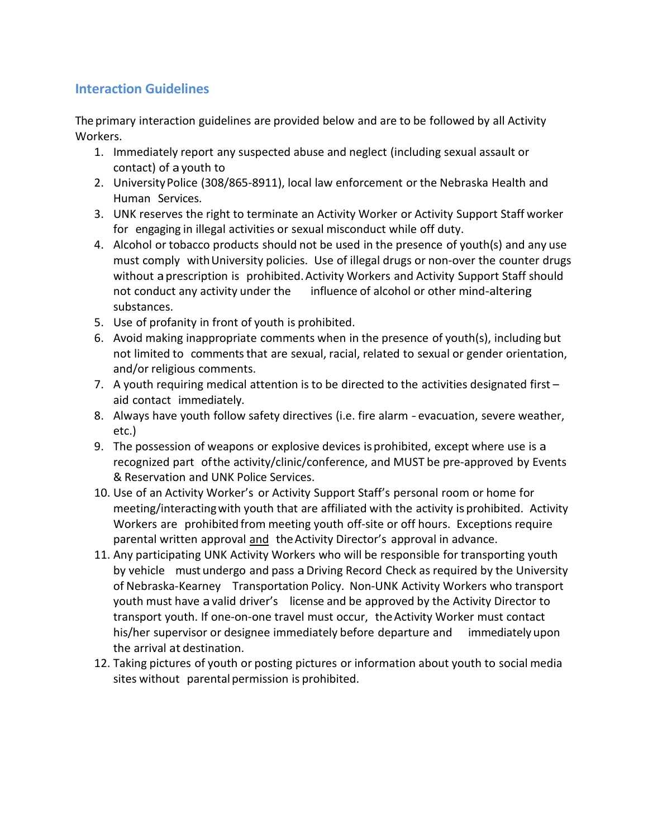# **Interaction Guidelines**

The primary interaction guidelines are provided below and are to be followed by all Activity Workers.

- 1. Immediately report any suspected abuse and neglect (including sexual assault or contact) of ayouth to
- 2. UniversityPolice (308/865-8911), local law enforcement or the Nebraska Health and Human Services.
- 3. UNK reserves the right to terminate an Activity Worker or Activity Support Staff worker for engaging in illegal activities or sexual misconduct while off duty.
- 4. Alcohol or tobacco products should not be used in the presence of youth(s) and any use must comply with University policies. Use of illegal drugs or non-over the counter drugs without aprescription is prohibited.Activity Workers and Activity Support Staff should not conduct any activity under the influence of alcohol or other mind-altering substances.
- 5. Use of profanity in front of youth is prohibited.
- 6. Avoid making inappropriate comments when in the presence of youth(s), including but not limited to comments that are sexual, racial, related to sexual or gender orientation, and/or religious comments.
- 7. A youth requiring medical attention is to be directed to the activities designated first aid contact immediately.
- 8. Always have youth follow safety directives (i.e. fire alarm -evacuation, severe weather, etc.)
- 9. The possession of weapons or explosive devices isprohibited, except where use is a recognized part ofthe activity/clinic/conference, and MUST be pre-approved by Events & Reservation and UNK Police Services.
- 10. Use of an Activity Worker's or Activity Support Staff's personal room or home for meeting/interactingwith youth that are affiliated with the activity isprohibited. Activity Workers are prohibited from meeting youth off-site or off hours. Exceptions require parental written approval and the Activity Director's approval in advance.
- 11. Any participating UNK Activity Workers who will be responsible for transporting youth by vehicle must undergo and pass a Driving Record Check as required by the University of Nebraska-Kearney Transportation Policy. Non-UNK Activity Workers who transport youth must have avalid driver's license and be approved by the Activity Director to transport youth. If one-on-one travel must occur, theActivity Worker must contact his/her supervisor or designee immediately before departure and immediately upon the arrival at destination.
- 12. Taking pictures of youth or posting pictures or information about youth to social media sites without parental permission is prohibited.